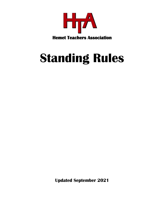

# **Standing Rules**

**Updated September 2021**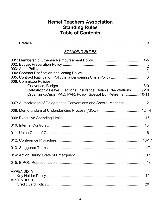# **Hemet Teachers Association Standing Rules Table of Contents**

| <b>STANDING RULES</b>                                                                                                                                              |  |
|--------------------------------------------------------------------------------------------------------------------------------------------------------------------|--|
| 006: Committee Policies<br>Catastrophic Leave, Elections, Insurance, Bylaws, Negotiations9-10<br>Organizing/Crisis, PAC, PAR, Policy, Special Ed, Retirement 10-11 |  |
| 007: Authorization of Delegates to Conventions and Special Meetings12                                                                                              |  |
|                                                                                                                                                                    |  |
|                                                                                                                                                                    |  |
|                                                                                                                                                                    |  |
|                                                                                                                                                                    |  |
|                                                                                                                                                                    |  |
|                                                                                                                                                                    |  |
|                                                                                                                                                                    |  |
|                                                                                                                                                                    |  |
| <b>APPENDIX A</b><br><b>APPENDIX B</b>                                                                                                                             |  |
|                                                                                                                                                                    |  |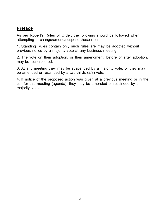# **Preface**

As per Robert's Rules of Order, the following should be followed when attempting to change/amend/suspend these rules:

1. Standing Rules contain only such rules are may be adopted without previous notice by a majority vote at any business meeting.

2. The vote on their adoption, or their amendment, before or after adoption, may be reconsidered.

3. At any meeting they may be suspended by a majority vote, or they may be amended or rescinded by a two-thirds (2/3) vote.

4. If notice of the proposed action was given at a previous meeting or in the call for this meeting (agenda), they may be amended or rescinded by a majority vote.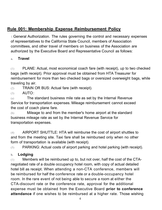# **Rule 001: Membership Expense Reimbursement Policy**

1.General Authorization. The rules governing the control and necessary expenses of representatives to the California State Council, members of Association committees, and other travel of members on business of the Association are authorized by the Executive Board and Representative Council as follows:

#### **a. Travel**

(1) PLANE: Actual, most economical coach fare (with receipt), up to two checked bags (with receipt). Prior approval must be obtained from HTA Treasurer for reimbursement for more than two checked bags or oversized overweight bags, while traveling by air.

(2) TRAIN OR BUS: Actual fare (with receipt).

(3) AUTO:

(a) The standard business mile rate as set by the Internal Revenue Service for transportation expenses. Mileage reimbursement cannot exceed the cost of coach plane fare.

(b) Mileage to and from the member's home airport at the standard business mileage rate as set by the Internal Revenue Service for transportation expenses.

(4) AIRPORT SHUTTLE: HTA will reimburse the cost of airport shuttles to and from the meeting site. Taxi fare shall be reimbursed only when no other form of transportation is available (with receipt).

 $(5)$  PARKING: Actual costs of airport parking and hotel parking (with receipt).

#### **b. Lodging**

 $(1)$  Members will be reimbursed up to, but not over, half the cost of the CTAnegotiated rate of a double occupancy hotel room, with copy of actual detailed hotel bill as receipt. When attending a non-CTA conference, members will be reimbursed for half the conference rate or a double-occupancy hotel room. In the rare event of not being able to secure a room at either the CTA-discount rate or the conference rate, approval for the additional expense must be obtained from the Executive Board **prior to conference attendance** if one wishes to be reimbursed at a higher rate. Those wishing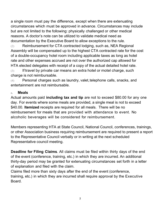a single room must pay the difference, except when there are extenuating circumstances which must be approved in advance. Circumstances may include but are not limited to the following: physically challenged or other medical reasons. A doctor's note can be utilized to validate medical need as documentation by the Executive Board to allow exceptions to the rule.

 $(2)$  Reimbursement for CTA contracted lodging, such as, NEA Regional Assembly will be compensated up to the highest CTA contracted rate for the cost of a double-occupancy hotel room including applicable taxes as long as hotel rate and other expenses accrued are not over the authorized cap allowed for HTA elected delegates with receipt of a copy of the actual detailed hotel rate.

 $(3)$  If travel by private car means an extra hotel or motel charge, such charge is not reimbursable.

(4) Personal charges such as laundry, valet,telephone calls, snacks, and entertainment are not reimbursable.

#### **c. Meals**

Actual amounts paid **including tax and tip** are not to exceed \$80.00 for any one day. For events where some meals are provided, a single meal is not to exceed \$40.00. **Itemized** receipts are required for all meals. There will be no reimbursement for meals that are provided with attendance to event. No alcoholic beverages will be considered for reimbursement.

Members representing HTA at State Council, National Council, conferences, trainings, or other Association business requiring reimbursement are required to present a report to the Representative Council verbally or in writing at the next scheduled Representative council meeting.

**Deadline for Filing Claims**. All claims must be filed within thirty days of the end of the event (conference, training, etc.) in which they are incurred. An additional thirty-day period may be granted for extenuating circumstances set forth in a letter of explanation and filed with the claim.

Claims filed more than sixty days after the end of the event (conference, training, etc.) in which they are incurred shall require approval by the Executive **Board**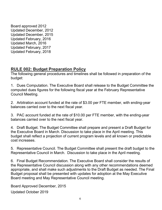Board approved 2012 Updated December, 2012 Updated December, 2015 Updated February, 2016 Updated March, 2016 Updated February, 2017 Updated February, 2018

# **RULE 002: Budget Preparation Policy**

The following general procedures and timelines shall be followed in preparation of the budget:

1. Dues Computation. The Executive Board shall release to the Budget Committee the computed dues figures for the following fiscal year at the February Representative Council Meeting.

2. Arbitration account funded at the rate of \$3.00 per FTE member, with ending-year balances carried over to the next fiscal year.

3. PAC account funded at the rate of \$10.00 per FTE member, with the ending-year balances carried over to the next fiscal year.

4. Draft Budget. The Budget Committee shall prepare and present a Draft Budget for the Executive Board in March. Discussion to take place in the April meeting. This budget shall reflect a projection of current program levels and all known or predictable cost increases.

5. Representative Council. The Budget Committee shall present the draft budget to the Representative Council in March. Discussion to take place in the April meeting.

6. Final Budget Recommendation. The Executive Board shall consider the results of the Representative Council discussion along with any other recommendations deemed appropriate, and shall make such adjustments to the Draft Budget as needed. The Final Budget proposal shall be presented with updates for adoption at the May Executive Board meeting and May Representative Council meeting.

Board Approved December, 2015

Updated October 2019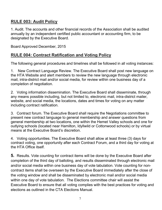# **RULE 003: Audit Policy**

1. Audit. The accounts and other financial records of the Association shall be audited annually by an independent certified public accountant or accounting firm, to be designated by the Executive Board.

Board Approved December, 2015

# **RULE 004: Contract Ratification and Voting Policy**

The following general procedures and timelines shall be followed in all voting instances:

1. New Contract Language Review. The Executive Board shall post new language on the HTA Website and alert members to review the new language through electronic mail, intra-district mail and/or social media, for review within one business day of a completion of negotiation.

2. Voting information dissemination. The Executive Board shall disseminate, through any means possible including, but not limited to, electronic mail, intra-district mailer, website, and social media, the locations, dates and times for voting on any matter including contract ratification.

3. Contract forum. The Executive Board shall require the Negotiations committee to present new contract language to general membership and answer questions from general membership at two locations, one within the Hemet Valley schools and one for outlying schools (located near Hamilton, Idyllwild or Cottonwood schools) or by virtual means at the Executive Board's discretion.

4. Voting opportunities. The Executive Board shall allow at least three (3) days for contract voting, one opportunity after each Contract Forum, and a third day for voting at the HTA Office itself.

**5.** Results. Vote counting for contract items will be done by the Executive Board after completion of the third day of balloting, and results disseminated through electronic mail and/or social media within one business day of vote tabulation. Vote counting for noncontract items shall be overseen by the Executive Board immediately after the close of the voting window and shall be disseminated by electronic mail and/or social media within one day of vote tabulation. The Elections committee chair will assist the Executive Board to ensure that all voting complies with the best practices for voting and elections as outlined in the CTA Elections Manual.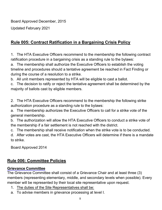Board Approved December, 2015

Updated February 2021

# **Rule 005: Contract Ratification in a Bargaining Crisis Policy**

1. The HTA Executive Officers recommend to the membership the following contract ratification procedure in a bargaining crisis as a standing rule to the bylaws:

a. The membership shall authorize the Executive Officers to establish the voting timeline and procedures should a tentative agreement be reached in Fact Finding or during the course of a resolution to a strike.

b. All unit members represented by HTA will be eligible to cast a ballot.

c. The decision to ratify or reject the tentative agreement shall be determined by the majority of ballots cast by eligible members.

2. The HTA Executive Officers recommend to the membership the following strike authorization procedure as a standing rule to the bylaws:

a. The membership authorizes the Executive Officers to call for a strike vote of the general membership.

b. The authorization will allow the HTA Executive Officers to conduct a strike vote of the membership if a fair settlement is not reached with the district.

c. The membership shall receive notification when the strike vote is to be conducted.

d. After votes are cast, the HTA Executive Officers will determine if there is a mandate to strike.

Board Approved 2014

# **Rule 006: Committee Policies**

#### **Grievance Committee**

The Grievance Committee shall consist of a Grievance Chair and at least three (3) members (representing elementary, middle, and secondary levels when possible). Every member will be represented by their local site representative upon request.

- 1. The duties of the Site Representatives shall be:
- a. To advise members in grievance processing at level I.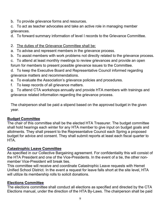- b. To provide grievance forms and resources.
- c. To act as teacher advocates and take an active role in managing member grievances.
- d. To forward summary information of level I records to the Grievance Committee.
- 2. The duties of the Grievance Committee shall be:
- a. To advise and represent members in the grievance process.
- b. To assist members with work problems not directly related to the grievance process.
- c. To attend at least monthly meetings to review grievances and provide an open forum for members to present possible grievance issues to the Committee.
- d. To keep the Executive Board and Representative Council informed regarding grievance matters and recommendations.
- e. To evaluate the Association's grievance policies and procedures.
- f. To keep records of all grievance matters.
- g. To attend CTA workshops annually and provide HTA members with trainings and grievance related information regarding the grievance process.

The chairperson shall be paid a stipend based on the approved budget in the given year.

#### **Budget Committee**

The chair of this committee shall be the elected HTA Treasurer. The budget committee shall hold hearings each winter for any HTA member to give input on budget goals and allotments. They shall present to the Representative Council each Spring a proposed budget for advice and consent. They shall submit reports at least each fiscal quarter to **HTA** 

#### **Catastrophic Leave Committee**

As specified in our Collective Bargaining agreement. For confidentiality this will consist of the HTA President and one of the Vice-Presidents. In the event of a tie, the other nonmember Vice-President will break ties.

This committee will receive and coordinate Catastrophic Leave requests with Hemet Unified School District. In the event a request for leave falls short at the site level, HTA will utilize its membership rolls to solicit donations.

#### **Elections Committee**

The elections committee shall conduct all elections as specified and directed by the CTA Elections manual, under the direction of the HTA By-Laws. The chairperson shall be paid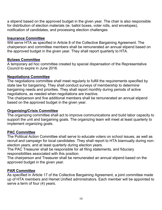a stipend based on the approved budget in the given year. The chair is also responsible for distribution of election materials (ie. ballot boxes, voter rolls, and envelopes), notification of candidates, and processing election challenges

#### **Insurance Committee**

Will serve HTA as specified in Article 8 of the Collective Bargaining Agreement. The chairperson and committee members shall be remunerated an annual stipend based on the approved budget in the given year. They shall report quarterly to HTA.

#### **Bylaws Committee**

A temporary ad hoc committee created by special dispensation of the Representative Council to expire in June 2016.

#### **Negotiations Committee**

The negotiations committee shall meet regularly to fulfill the requirements specified by state law for bargaining. They shall conduct surveys of membership to determine bargaining needs and priorities. They shall report monthly during periods of active negotiations, as needed when negotiations are inactive.

The chairperson and five additional members shall be remunerated an annual stipend based on the approved budget in the given year.

#### **Organizing/Crisis Committee**

The organizing committee shall act to improve communications and build labor capacity to support the unit and bargaining goals. The organizing team will meet at least quarterly to implement organizing goals.

#### **PAC Committee**

The Political Action Committee shall serve to educate voters on school issues, as well as recruit and campaign for local candidates. They shall report to HTA biannually during nonelection years, and at least quarterly during election years.

The PAC Treasurer shall be responsible for all filing statements, and fiduciary responsibilities associated with this position.

The chairperson and Treasurer shall be remunerated an annual stipend based on the approved budget in the given year.

#### **PAR Committee**

As specified in Article 17 of the Collective Bargaining Agreement, a joint committee made up of HTA members and Hemet Unified administrators. Each member will be appointed to serve a term of four (4) years.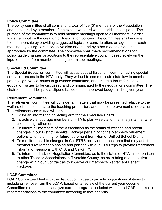#### **Policy Committee**

The policy committee shall consist of a total of five (5) members of the Association and be chaired by a member of the executive board without additional stipend. The purpose of the committee is to hold monthly meetings open to all members in order to gather input on the creation of Association policies. The committee shall engage the membership by providing suggested topics for consideration, an agenda for each meeting, by taking part in objective discussion, and by other means as deemed appropriate by the committee. The committee shall make recommendations for policy guide changes or additions to the representative council, based solely on the input obtained from members during committee meetings.

# **Special Ed Committee**

The Special Education committee will act as special liaisons in communicating special education issues to the HTA body. They will act to communicate state law to members, potential grievance issues to grievance committee, and create a forum for special education issues to be discussed and communicated to the negotiations committee. The chairperson shall be paid a stipend based on the approved budget in the given year.

#### **Retirement Committee**

The retirement committee will consider all matters that may be presented relative to the welfare of the teachers, to the teaching profession, and to the improvement of education. The retirement committee will serve:

- 1. To be an information collecting arm for the Executive Board
- 2. To actively encourage members of HTA to plan wisely and in a timely manner when considering retirement.
- 3. To inform all members of the Association as the status of existing and recent changes in our District Benefits Package pertaining to the Member's retirement options when planning for future retirement from Hemet Unified School District.
- 4. To monitor possible changes in Cal-STRS policy and procedures that may affect member's retirement planning and partner with our CTA Reps to provide Retirement Information sessions with CTA and Cal-STRS.
- 5. To inform and advise Negotiation Committee, as to the status of HTA in comparison to other Teacher Associations in Riverside County, so as to bring about positive change within our Contract as to improve our member's Retirement Benefit Package.

#### **LCAP Committee**

LCAP Committee Meet with the district committee to provide suggestions of items to include or remove from the LCAP, based on a review of the current year document. Committee members shall analyze current programs included within the LCAP and make recommendations to the committee according to that analysis.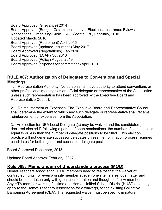Board Approved (Grievance) 2014 Board Approved (Budget, Catastrophic Leave, Elections, Insurance, Bylaws, Negotiations, Organizing/Crisis, PAC, Special Ed.) February, 2016 Updated March, 2016 Board Approved (Retirement) April 2016 Board Approved (updated Insurance) May 2017 Board Approved (Negotiations) Feb 2018 Board Approved (LCAP) Oct 2018 Board Approved (Policy) August 2019 Board Approved (Stipends for committees) April 2021

# **RULE 007: Authorization of Delegates to Conventions and Special Meetings**

1. Representation Authority. No person shall have authority to attend conventions or other professional meetings as an official delegate or representative of the Association unless such representation has been approved by the Executive Board and Representative Council.

2. Reimbursement of Expenses. The Executive Board and Representative Council shall determine the extent to which any such delegate or representative shall receive reimbursement of expenses from the Association.

3. An election for NEA Local Delegates(s) may be waived and the candidate(s) declared elected if, following a period of open nominations, the number of candidates is equal to or less than the number of delegate positions to be filled. This election practice will not generate successor delegates unless the nomination process requires candidates for both regular and successor delegate positions.

Board Approved December, 2015

Updated Board Approval February, 2017

#### **Rule 008: Memorandum of Understanding process (MOU)**

Hemet Teachers Association (HTA) members need to realize that the waiver of contracted rights, for even a single member at even one site, is a serious matter and should be undertaken only with great consideration and thought to fellow members. Any HTA member working full time at a Hemet Unified School District (HUSD) site may apply to the Hemet Teachers Association for a waiver(s) to the existing Collective Bargaining Agreement (CBA). The requested waiver must be specific in nature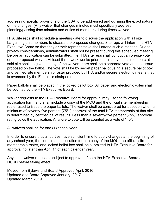addressing specific provisions of the CBA to be addressed and outlining the exact nature of the changes. (Any waiver that changes minutes must specifically address planning/passing time minutes and duties of members during times waived.)

HTA Site reps shall schedule a meeting date to discuss the application with all site bargaining unit members to discuss the proposed changes. Site reps will inform the HTA Executive Board so that they or their representative shall attend such a meeting. Due to privacy considerations, administrators shall not be present during this scheduled meeting. Before an application can be submitted, the HTA site reps shall conduct an on-site vote on the proposed waiver. At least three work weeks prior to the site vote, all members at said site shall be given a copy of the waiver, there shall be a separate vote on each issue proposed on the ballot. The vote shall be by secret paper ballot using a secure ballot box and verified site membership roster provided by HTA and/or secure electronic means that is overseen by the Election's chairperson.

Paper ballots shall be placed in the locked ballot box. All paper and electronic votes shall be counted by the HTA Executive Board.

Waiver requests to the HTA Executive Board for approval may use the following application form, and shall include a copy of the MOU and the official site membership roster used to issue the paper ballots. The waiver shall be considered for adoption when a minimum of seventy-five percent (75%) approval of the total HTA membership at that site is determined by certified ballot results. Less than a seventy-five percent (75%) approval rating voids the application. A failure to vote will be counted as a vote of "no".

All waivers shall be for one (1) school year.

In order to ensure that all parties have sufficient time to apply changes at the beginning of any school year, the completed application form, a copy of the MOU, the official site membership roster, and locked ballot box shall be submitted to HTA Executive Board for approval no later than April 1<sup>st</sup> of each calendar year.

Any such waiver request is subject to approval of both the HTA Executive Board and HUSD before taking effect.

Moved from Bylaws and Board Approved April, 2016 Updated and Board Approved January, 2017 Updated March 2019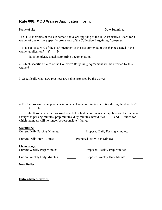#### **Rule 008: MOU Waiver Application Form:**

| Name of site | Date Submitted |
|--------------|----------------|
|              |                |

The HTA members of the site named above are applying to the HTA Executive Board for a waiver of one or more specific provisions of the Collective Bargaining Agreement.

1. Have at least 75% of the HTA members at the site approved of the changes stated in the waiver application? Y N

1a. If so, please attach supporting documentation

2. Which specific articles of the Collective Bargaining Agreement will be affected by this waiver?

3. Specifically what new practices are being proposed by the waiver?

4. Do the proposed new practices involve a change to minutes or duties during the duty day? Y N

4a. If so, attach the proposed new bell schedule to this waiver application. Below, note changes to passing minutes, prep minutes, duty minutes, new duties, and duties for which members will no longer be responsible (if any).

#### **Secondary:**

| <b>Current Daily Passing Minutes:</b>             | Proposed Daily Passing Minutes: |
|---------------------------------------------------|---------------------------------|
| <b>Current Daily Prep Minutes:</b>                | Proposed Daily Prep Minutes:    |
| Elementary:<br><b>Current Weekly Prep Minutes</b> | Proposed Weekly Prep Minutes    |
| <b>Current Weekly Duty Minutes</b>                | Proposed Weekly Duty Minutes    |
| <b>New Duties:</b>                                |                                 |

#### **Duties dispensed with:**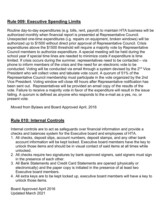# **Rule 009: Executive Spending Limits**

Routine day-to-day expenditures (e.g. bills, rent, payroll) to maintain HTA business will be authorized monthly when financial report is presented at Representative Council. Unexpected one-time expenditures (i.g. repairs on equipment, broken windows) will be authorized up to \$1500 without direct prior approval of Representative Council. Crisis expenditures above the \$1500 threshold will require a majority vote by Representative Council members to authorize expenditure. A special meeting will be held during the school year if special time lines are needed to minimize costs if expenditure is time limited. If crisis occurs during the summer, representatives need to be contacted – via phone to inform members of the crisis and the need for an electronic vote to be conducted. Voting will be conducted via email through a system devised by the 2<sup>nd</sup> Vice President who will collect votes and tabulate vote count. A quorum of 51% of the Representative Council membership must participate in the vote organized by the 2nd Vice President. Voting window will close 48 hours after Representative notification has been sent out. Representatives will be provided an email copy of the results of the vote. Failure to receive a majority vote in favor of the expenditure will result in the issue failing. A quorum is defined as anyone who responds to the e-mail as a yes, no, or present vote.

Moved from Bylaws and Board Approved April, 2016

# **Rule 010: Internal Controls**

Internal controls are to act as safeguards over financial information and provide a checks and balances system for the Executive board and employees of HTA.

- 1. All checks, deposit slips, account numbers, deposit stamps, and any other bank account information will be kept locked. Executive board members have the key to unlock those items and should be in visual contact of said items at all times while unlocked.
- 2. All checks require two signatures by bank approved signers, said signers must sign in the presence of each other.
- 3. All Bank Statements and Credit Card Statements are opened (physically or electronically) and the paper copy is initialed in the presence of at least two Executive board members.
- 4. All extra keys are to be kept locked up, executive board members will have a key to unlock those items.

Board Approved April 2016 Updated March 2021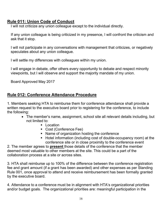# **Rule 011: Union Code of Conduct**

I will not criticize any union colleague except to the individual directly.

If any union colleague is being criticized in my presence, I will confront the criticism and ask that it stop.

I will not participate in any conversations with management that criticizes, or negatively speculates about any union colleague.

I will settle my differences with colleagues within my union.

I will engage in debate, offer others every opportunity to debate and respect minority viewpoints, but I will observe and support the majority mandate of my union.

Board Approved May 2017

# **Rule 012: Conference Attendance Procedure**

1. Members seeking HTA to reimburse them for conference attendance shall provide a written request to the executive board prior to registering for the conference, to include the following:

- The member's name, assignment, school site all relevant details including, but not limited to:
	- **Location**
	- Cost (Conference Fee)
	- Name of organization hosting the conference
	- Hotel information (including cost of double-occupancy room) at the conference site or in close proximity to the conference event

2. The member agrees to **present** those details of the conference that the member deemed most valuable to other members at the site. This could be a part of the collaboration process at a site or across sites.

3. HTA shall reimburse up to 100% of the difference between the conference registration fee and grant amount (if a grant has been awarded) and other expenses as per Standing Rule 001, once approval to attend and receive reimbursement has been formally granted by the executive board.

4. Attendance to a conference must be in alignment with HTA's organizational priorities and/or budget goals. The organizational priorities are: meaningful participation in the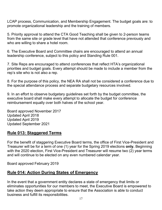LCAP process, Communication, and Membership Engagement. The budget goals are: to promote organizational leadership and the training of members.

5. Priority approval to attend the CTA Good Teaching shall be given to 2-person teams from the same site or grade level that have not attended that conference previously and who are willing to share a hotel room.

6. The Executive Board and Committee chairs are encouraged to attend an annual leadership conference, subject to this policy and Standing Rule 001.

7. Site Reps are encouraged to attend conferences that reflect HTA's organizational priorities and budget goals. Every attempt should be made to include a member from the rep's site who is not also a rep.

8. For the purpose of this policy, the NEA RA shall not be considered a conference due to the special attendance process and separate budgetary resources involved.

9. In an effort to observe budgetary guidelines set forth by the budget committee, the executive board shall make every attempt to allocate the budget for conference reimbursement equally over both halves of the school year.

Board approved November 2017 Updated April 2018 Updated April 2019 Updated September 2021

#### **Rule 013: Staggered Terms**

For the benefit of staggering Executive Board terms, the office of First Vice-President and Treasurer will be for a term of one (1) year for the Spring 2019 elections **only.** Beginning with the 2020 election, First Vice-President and Treasurer will resume two (2) year terms and will continue to be elected on any even numbered calendar year.

Board approved February 2019

#### **Rule 014: Action During States of Emergency**

In the event that a government entity declares a state of emergency that limits or eliminates opportunities for our members to meet, the Executive Board is empowered to take action they deem appropriate to ensure that the Association is able to conduct business and fulfill its responsibilities.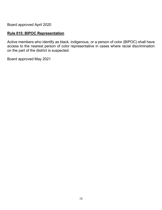Board approved April 2020

# **Rule 015: BIPOC Representation**

Active members who identify as black, indigenous, or a person of color (BIPOC) shall have access to the nearest person of color representative in cases where racial discrimination on the part of the district is suspected.

Board approved May 2021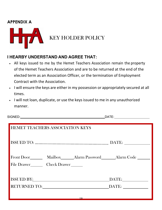# **APPENDIX A**



# **I HEARBY UNDERSTAND AND AGREE THAT:**

- All keys issued to me by the Hemet Teachers Association remain the property of the Hemet Teachers Association and are to be returned at the end of the elected term as an Association Officer, or the termination of Employment Contract with the Association.
- I will ensure the keys are either in my possession or appropriately secured at all times.
- I will not loan, duplicate, or use the keysissued to me in any unauthorized manner.

SIGNED: DATE: DATE: DATE: DATE: DATE: DATE: DATE: DATE: DATE: DATE: DATE: DATE: DATE: DATE: DATE: DATE: DATE: DATE: DATE: DATE: DATE: DATE: DATE: DATE: DATE: DATE: DATE: DATE: DATE: DATE: DATE: DATE: DATE: DATE: DATE: DATE

| <b>HEMET TEACHERS ASSOCIATION KEYS</b> |                                                                                                                                                                                                                                                                                             |  |  |
|----------------------------------------|---------------------------------------------------------------------------------------------------------------------------------------------------------------------------------------------------------------------------------------------------------------------------------------------|--|--|
|                                        | DATE:                                                                                                                                                                                                                                                                                       |  |  |
|                                        | Front Door_________ Mailbox_______ Alarm Password_________ Alarm Code ________<br>File Drawer Check Drawer                                                                                                                                                                                  |  |  |
|                                        | ISSUED BY: North Contract of the Second Second Second Second Second Second Second Second Second Second Second Second Second Second Second Second Second Second Second Second Second Second Second Second Second Second Second<br>DATE:<br>RETURNED TO: NAMEL AND TO A RETURNED TO:<br>DATE: |  |  |
|                                        | $10^{-7}$                                                                                                                                                                                                                                                                                   |  |  |